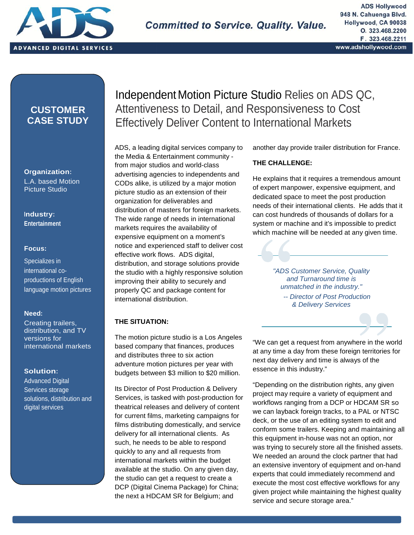

, distribution and digital services  $\mathcal{L}_{\mathcal{S}}$ 

# **CUSTOMER CASE STUDY**

**Organization:** L.A. based Motion Picture Studio

**Industry: Entertainment**

### **Focus:**

Specializes in international co productions of English language motion pictures

### **Need:**

Creating trailers, distribution, and TV versions for international markets

### **Solution:**

Advanced Digital Services storage solutions, distribution and digital services

# Independent Motion Picture Studio Relies on ADS QC, Attentiveness to Detail, and Responsiveness to Cost Effectively Deliver Content to International Markets

ADS, a leading digital services company to the Media & Entertainment community from major studios and world-class advertising agencies to independents and CODs alike, is utilized by a major motion picture studio as an extension of their organization for deliverables and distribution of masters for foreign markets. The wide range of needs in international markets requires the availability of expensive equipment on a moment's notice and experienced staff to deliver cost effective work flows. ADS digital, distribution, and storage solutions provide the studio with a highly responsive solution improving their ability to securely and properly QC and package content for international distribution.

## **THE SITUATION:**

The motion picture studio is a Los Angeles based company that finances, produces and distributes three to six action adventure motion pictures per year with budgets between \$3 million to \$20 million.

Its Director of Post Production & Delivery Services, is tasked with post-production for theatrical releases and delivery of content for current films, marketing campaigns for films distributing domestically, and service delivery for all international clients. As such, he needs to be able to respond quickly to any and all requests from international markets within the budget available at the studio. On any given day, the studio can get a request to create a DCP (Digital Cinema Package) for China; the next a HDCAM SR for Belgium; and

another day provide trailer distribution for France.

### **THE CHALLENGE:**

He explains that it requires a tremendous amount of expert manpower, expensive equipment, and dedicated space to meet the post production needs of their international clients. He adds that it can cost hundreds of thousands of dollars for a system or machine and it's impossible to predict which machine will be needed at any given time.

> *"ADS Customer Service, Quality and Turnaround time is unmatched in the industry." -- Director of Post Production & Delivery Services*

"We can get a request from anywhere in the world at any time a day from these foreign territories for next day delivery and time is always of the essence in this industry."

"Depending on the distribution rights, any given project may require a variety of equipment and workflows ranging from a DCP or HDCAM SR so we can layback foreign tracks, to a PAL or NTSC deck, or the use of an editing system to edit and conform some trailers. Keeping and maintaining all this equipment in-house was not an option, nor was trying to securely store all the finished assets. We needed an around the clock partner that had an extensive inventory of equipment and on-hand experts that could immediately recommend and execute the most cost effective workflows for any given project while maintaining the highest quality service and secure storage area."